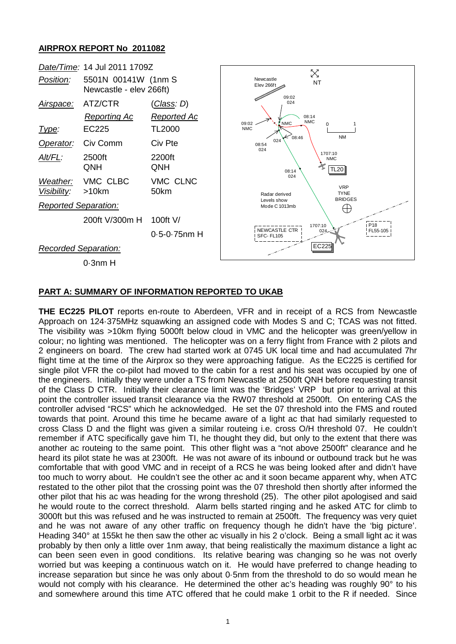## **AIRPROX REPORT No 2011082**



## **PART A: SUMMARY OF INFORMATION REPORTED TO UKAB**

**THE EC225 PILOT** reports en-route to Aberdeen, VFR and in receipt of a RCS from Newcastle Approach on 124·375MHz squawking an assigned code with Modes S and C; TCAS was not fitted. The visibility was >10km flying 5000ft below cloud in VMC and the helicopter was green/yellow in colour; no lighting was mentioned. The helicopter was on a ferry flight from France with 2 pilots and 2 engineers on board. The crew had started work at 0745 UK local time and had accumulated 7hr flight time at the time of the Airprox so they were approaching fatigue. As the EC225 is certified for single pilot VFR the co-pilot had moved to the cabin for a rest and his seat was occupied by one of the engineers. Initially they were under a TS from Newcastle at 2500ft QNH before requesting transit of the Class D CTR. Initially their clearance limit was the 'Bridges' VRP but prior to arrival at this point the controller issued transit clearance via the RW07 threshold at 2500ft. On entering CAS the controller advised "RCS" which he acknowledged. He set the 07 threshold into the FMS and routed towards that point. Around this time he became aware of a light ac that had similarly requested to cross Class D and the flight was given a similar routeing i.e. cross O/H threshold 07. He couldn't remember if ATC specifically gave him TI, he thought they did, but only to the extent that there was another ac routeing to the same point. This other flight was a "not above 2500ft" clearance and he heard its pilot state he was at 2300ft. He was not aware of its inbound or outbound track but he was comfortable that with good VMC and in receipt of a RCS he was being looked after and didn't have too much to worry about. He couldn't see the other ac and it soon became apparent why, when ATC restated to the other pilot that the crossing point was the 07 threshold then shortly after informed the other pilot that his ac was heading for the wrong threshold (25). The other pilot apologised and said he would route to the correct threshold. Alarm bells started ringing and he asked ATC for climb to 3000ft but this was refused and he was instructed to remain at 2500ft. The frequency was very quiet and he was not aware of any other traffic on frequency though he didn't have the 'big picture'. Heading 340° at 155kt he then saw the other ac visually in his 2 o'clock. Being a small light ac it was probably by then only a little over 1nm away, that being realistically the maximum distance a light ac can been seen even in good conditions. Its relative bearing was changing so he was not overly worried but was keeping a continuous watch on it. He would have preferred to change heading to increase separation but since he was only about 0·5nm from the threshold to do so would mean he would not comply with his clearance. He determined the other ac's heading was roughly 90° to his and somewhere around this time ATC offered that he could make 1 orbit to the R if needed. Since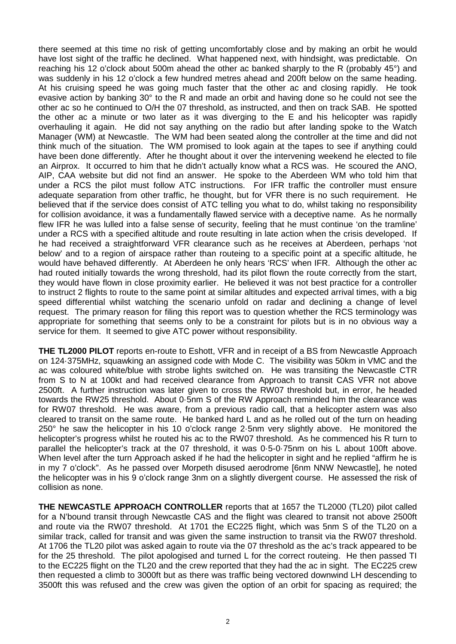there seemed at this time no risk of getting uncomfortably close and by making an orbit he would have lost sight of the traffic he declined. What happened next, with hindsight, was predictable. On reaching his 12 o'clock about 500m ahead the other ac banked sharply to the R (probably 45°) and was suddenly in his 12 o'clock a few hundred metres ahead and 200ft below on the same heading. At his cruising speed he was going much faster that the other ac and closing rapidly. He took evasive action by banking 30° to the R and made an orbit and having done so he could not see the other ac so he continued to O/H the 07 threshold, as instructed, and then on track SAB. He spotted the other ac a minute or two later as it was diverging to the E and his helicopter was rapidly overhauling it again. He did not say anything on the radio but after landing spoke to the Watch Manager (WM) at Newcastle. The WM had been seated along the controller at the time and did not think much of the situation. The WM promised to look again at the tapes to see if anything could have been done differently. After he thought about it over the intervening weekend he elected to file an Airprox. It occurred to him that he didn't actually know what a RCS was. He scoured the ANO, AIP, CAA website but did not find an answer. He spoke to the Aberdeen WM who told him that under a RCS the pilot must follow ATC instructions. For IFR traffic the controller must ensure adequate separation from other traffic, he thought, but for VFR there is no such requirement. He believed that if the service does consist of ATC telling you what to do, whilst taking no responsibility for collision avoidance, it was a fundamentally flawed service with a deceptive name. As he normally flew IFR he was lulled into a false sense of security, feeling that he must continue 'on the tramline' under a RCS with a specified altitude and route resulting in late action when the crisis developed. If he had received a straightforward VFR clearance such as he receives at Aberdeen, perhaps 'not below' and to a region of airspace rather than routeing to a specific point at a specific altitude, he would have behaved differently. At Aberdeen he only hears 'RCS' when IFR. Although the other ac had routed initially towards the wrong threshold, had its pilot flown the route correctly from the start, they would have flown in close proximity earlier. He believed it was not best practice for a controller to instruct 2 flights to route to the same point at similar altitudes and expected arrival times, with a big speed differential whilst watching the scenario unfold on radar and declining a change of level request. The primary reason for filing this report was to question whether the RCS terminology was appropriate for something that seems only to be a constraint for pilots but is in no obvious way a service for them. It seemed to give ATC power without responsibility.

**THE TL2000 PILOT** reports en-route to Eshott, VFR and in receipt of a BS from Newcastle Approach on 124·375MHz, squawking an assigned code with Mode C. The visibility was 50km in VMC and the ac was coloured white/blue with strobe lights switched on. He was transiting the Newcastle CTR from S to N at 100kt and had received clearance from Approach to transit CAS VFR not above 2500ft. A further instruction was later given to cross the RW07 threshold but, in error, he headed towards the RW25 threshold. About 0·5nm S of the RW Approach reminded him the clearance was for RW07 threshold. He was aware, from a previous radio call, that a helicopter astern was also cleared to transit on the same route. He banked hard L and as he rolled out of the turn on heading 250° he saw the helicopter in his 10 o'clock range 2·5nm very slightly above. He monitored the helicopter's progress whilst he routed his ac to the RW07 threshold. As he commenced his R turn to parallel the helicopter's track at the 07 threshold, it was 0·5-0·75nm on his L about 100ft above. When level after the turn Approach asked if he had the helicopter in sight and he replied "affirm he is in my 7 o'clock". As he passed over Morpeth disused aerodrome [6nm NNW Newcastle], he noted the helicopter was in his 9 o'clock range 3nm on a slightly divergent course. He assessed the risk of collision as none.

**THE NEWCASTLE APPROACH CONTROLLER** reports that at 1657 the TL2000 (TL20) pilot called for a N'bound transit through Newcastle CAS and the flight was cleared to transit not above 2500ft and route via the RW07 threshold. At 1701 the EC225 flight, which was 5nm S of the TL20 on a similar track, called for transit and was given the same instruction to transit via the RW07 threshold. At 1706 the TL20 pilot was asked again to route via the 07 threshold as the ac's track appeared to be for the 25 threshold. The pilot apologised and turned L for the correct routeing. He then passed TI to the EC225 flight on the TL20 and the crew reported that they had the ac in sight. The EC225 crew then requested a climb to 3000ft but as there was traffic being vectored downwind LH descending to 3500ft this was refused and the crew was given the option of an orbit for spacing as required; the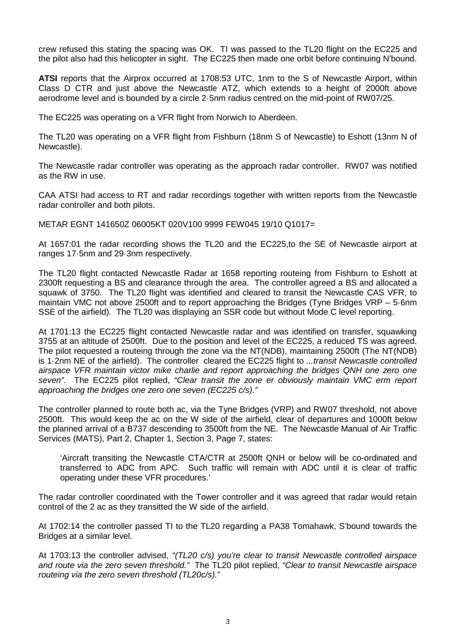crew refused this stating the spacing was OK. TI was passed to the TL20 flight on the EC225 and the pilot also had this helicopter in sight. The EC225 then made one orbit before continuing N'bound.

**ATSI** reports that the Airprox occurred at 1708:53 UTC, 1nm to the S of Newcastle Airport, within Class D CTR and just above the Newcastle ATZ, which extends to a height of 2000ft above aerodrome level and is bounded by a circle 2·5nm radius centred on the mid-point of RW07/25.

The EC225 was operating on a VFR flight from Norwich to Aberdeen.

The TL20 was operating on a VFR flight from Fishburn (18nm S of Newcastle) to Eshott (13nm N of Newcastle).

The Newcastle radar controller was operating as the approach radar controller. RW07 was notified as the RW in use.

CAA ATSI had access to RT and radar recordings together with written reports from the Newcastle radar controller and both pilots.

METAR EGNT 141650Z 06005KT 020V100 9999 FEW045 19/10 Q1017=

At 1657:01 the radar recording shows the TL20 and the EC225,to the SE of Newcastle airport at ranges 17·5nm and 29·3nm respectively.

The TL20 flight contacted Newcastle Radar at 1658 reporting routeing from Fishburn to Eshott at 2300ft requesting a BS and clearance through the area. The controller agreed a BS and allocated a squawk of 3750. The TL20 flight was identified and cleared to transit the Newcastle CAS VFR, to maintain VMC not above 2500ft and to report approaching the Bridges (Tyne Bridges VRP – 5·6nm SSE of the airfield). The TL20 was displaying an SSR code but without Mode C level reporting.

At 1701:13 the EC225 flight contacted Newcastle radar and was identified on transfer, squawking 3755 at an altitude of 2500ft. Due to the position and level of the EC225, a reduced TS was agreed. The pilot requested a routeing through the zone via the NT(NDB), maintaining 2500ft (The NT(NDB) is 1·2nm NE of the airfield). The controller cleared the EC225 flight to *...transit Newcastle controlled airspace VFR maintain victor mike charlie and report approaching the bridges QNH one zero one seven"*. The EC225 pilot replied, *"Clear transit the zone er obviously maintain VMC erm report approaching the bridges one zero one seven (EC225 c/s)."*

The controller planned to route both ac, via the Tyne Bridges (VRP) and RW07 threshold, not above 2500ft. This would keep the ac on the W side of the airfield, clear of departures and 1000ft below the planned arrival of a B737 descending to 3500ft from the NE. The Newcastle Manual of Air Traffic Services (MATS), Part 2, Chapter 1, Section 3, Page 7, states:

'Aircraft transiting the Newcastle CTA/CTR at 2500ft QNH or below will be co-ordinated and transferred to ADC from APC. Such traffic will remain with ADC until it is clear of traffic operating under these VFR procedures.'

The radar controller coordinated with the Tower controller and it was agreed that radar would retain control of the 2 ac as they transitted the W side of the airfield.

At 1702:14 the controller passed TI to the TL20 regarding a PA38 Tomahawk, S'bound towards the Bridges at a similar level.

At 1703:13 the controller advised, *"(TL20 c/s) you're clear to transit Newcastle controlled airspace and route via the zero seven threshold."* The TL20 pilot replied, *"Clear to transit Newcastle airspace routeing via the zero seven threshold (TL20c/s).*"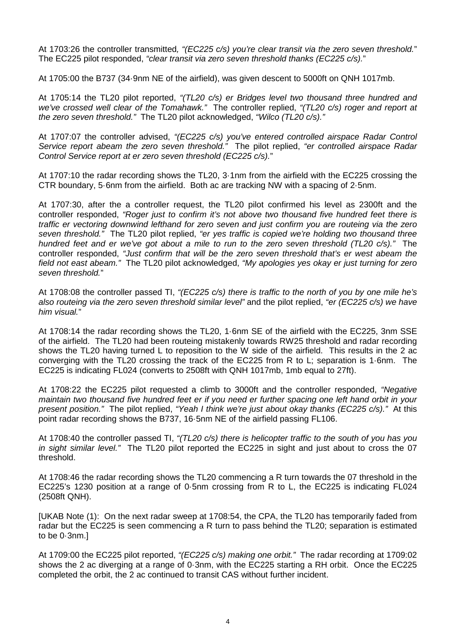At 1703:26 the controller transmitted*, "(EC225 c/s) you're clear transit via the zero seven threshold.*" The EC225 pilot responded, *"clear transit via zero seven threshold thanks (EC225 c/s).*"

At 1705:00 the B737 (34·9nm NE of the airfield), was given descent to 5000ft on QNH 1017mb.

At 1705:14 the TL20 pilot reported, *"(TL20 c/s) er Bridges level two thousand three hundred and we've crossed well clear of the Tomahawk."* The controller replied, *"(TL20 c/s) roger and report at the zero seven threshold."* The TL20 pilot acknowledged, *"Wilco (TL20 c/s)."*

At 1707:07 the controller advised, *"(EC225 c/s) you've entered controlled airspace Radar Control Service report abeam the zero seven threshold."* The pilot replied, *"er controlled airspace Radar Control Service report at er zero seven threshold (EC225 c/s).*"

At 1707:10 the radar recording shows the TL20, 3·1nm from the airfield with the EC225 crossing the CTR boundary, 5·6nm from the airfield. Both ac are tracking NW with a spacing of 2·5nm.

At 1707:30, after the a controller request, the TL20 pilot confirmed his level as 2300ft and the controller responded, *"Roger just to confirm it's not above two thousand five hundred feet there is traffic er vectoring downwind lefthand for zero seven and just confirm you are routeing via the zero seven threshold."* The TL20 pilot replied, *"er yes traffic is copied we're holding two thousand three hundred feet and er we've got about a mile to run to the zero seven threshold (TL20 c/s)."* The controller responded, *"Just confirm that will be the zero seven threshold that's er west abeam the field not east abeam."* The TL20 pilot acknowledged, *"My apologies yes okay er just turning for zero seven threshold.*"

At 1708:08 the controller passed TI, *"(EC225 c/s) there is traffic to the north of you by one mile he's also routeing via the zero seven threshold similar level"* and the pilot replied, *"er (EC225 c/s) we have him visual.*"

At 1708:14 the radar recording shows the TL20, 1·6nm SE of the airfield with the EC225, 3nm SSE of the airfield. The TL20 had been routeing mistakenly towards RW25 threshold and radar recording shows the TL20 having turned L to reposition to the W side of the airfield. This results in the 2 ac converging with the TL20 crossing the track of the EC225 from R to L; separation is 1·6nm. The EC225 is indicating FL024 (converts to 2508ft with QNH 1017mb, 1mb equal to 27ft).

At 1708:22 the EC225 pilot requested a climb to 3000ft and the controller responded, *"Negative maintain two thousand five hundred feet er if you need er further spacing one left hand orbit in your present position."* The pilot replied, *"Yeah I think we're just about okay thanks (EC225 c/s)."* At this point radar recording shows the B737, 16·5nm NE of the airfield passing FL106.

At 1708:40 the controller passed TI, *"(TL20 c/s) there is helicopter traffic to the south of you has you in sight similar level."* The TL20 pilot reported the EC225 in sight and just about to cross the 07 threshold.

At 1708:46 the radar recording shows the TL20 commencing a R turn towards the 07 threshold in the EC225's 1230 position at a range of 0·5nm crossing from R to L, the EC225 is indicating FL024 (2508ft QNH).

[UKAB Note (1): On the next radar sweep at 1708:54, the CPA, the TL20 has temporarily faded from radar but the EC225 is seen commencing a R turn to pass behind the TL20; separation is estimated to be 0·3nm.]

At 1709:00 the EC225 pilot reported, *"(EC225 c/s) making one orbit."* The radar recording at 1709:02 shows the 2 ac diverging at a range of 0·3nm, with the EC225 starting a RH orbit. Once the EC225 completed the orbit, the 2 ac continued to transit CAS without further incident.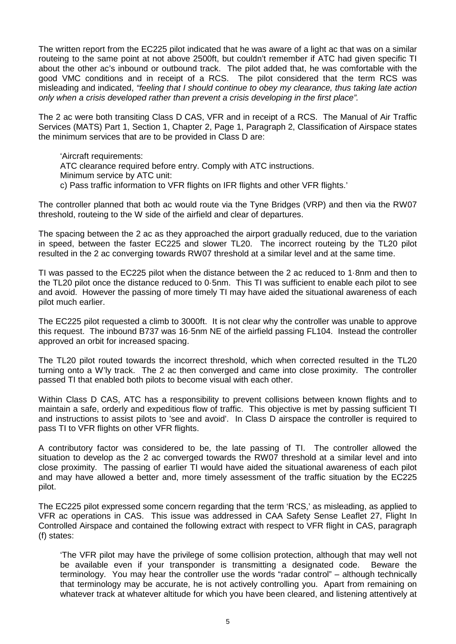The written report from the EC225 pilot indicated that he was aware of a light ac that was on a similar routeing to the same point at not above 2500ft, but couldn't remember if ATC had given specific TI about the other ac's inbound or outbound track. The pilot added that, he was comfortable with the good VMC conditions and in receipt of a RCS. The pilot considered that the term RCS was misleading and indicated, *"feeling that I should continue to obey my clearance, thus taking late action only when a crisis developed rather than prevent a crisis developing in the first place".*

The 2 ac were both transiting Class D CAS, VFR and in receipt of a RCS. The Manual of Air Traffic Services (MATS) Part 1, Section 1, Chapter 2, Page 1, Paragraph 2, Classification of Airspace states the minimum services that are to be provided in Class D are:

'Aircraft requirements: ATC clearance required before entry. Comply with ATC instructions. Minimum service by ATC unit: c) Pass traffic information to VFR flights on IFR flights and other VFR flights.'

The controller planned that both ac would route via the Tyne Bridges (VRP) and then via the RW07 threshold, routeing to the W side of the airfield and clear of departures.

The spacing between the 2 ac as they approached the airport gradually reduced, due to the variation in speed, between the faster EC225 and slower TL20. The incorrect routeing by the TL20 pilot resulted in the 2 ac converging towards RW07 threshold at a similar level and at the same time.

TI was passed to the EC225 pilot when the distance between the 2 ac reduced to 1·8nm and then to the TL20 pilot once the distance reduced to 0·5nm. This TI was sufficient to enable each pilot to see and avoid. However the passing of more timely TI may have aided the situational awareness of each pilot much earlier.

The EC225 pilot requested a climb to 3000ft. It is not clear why the controller was unable to approve this request. The inbound B737 was 16·5nm NE of the airfield passing FL104. Instead the controller approved an orbit for increased spacing.

The TL20 pilot routed towards the incorrect threshold, which when corrected resulted in the TL20 turning onto a W'ly track. The 2 ac then converged and came into close proximity. The controller passed TI that enabled both pilots to become visual with each other.

Within Class D CAS, ATC has a responsibility to prevent collisions between known flights and to maintain a safe, orderly and expeditious flow of traffic. This objective is met by passing sufficient TI and instructions to assist pilots to 'see and avoid'. In Class D airspace the controller is required to pass TI to VFR flights on other VFR flights.

A contributory factor was considered to be, the late passing of TI. The controller allowed the situation to develop as the 2 ac converged towards the RW07 threshold at a similar level and into close proximity. The passing of earlier TI would have aided the situational awareness of each pilot and may have allowed a better and, more timely assessment of the traffic situation by the EC225 pilot.

The EC225 pilot expressed some concern regarding that the term 'RCS,' as misleading, as applied to VFR ac operations in CAS. This issue was addressed in CAA Safety Sense Leaflet 27, Flight In Controlled Airspace and contained the following extract with respect to VFR flight in CAS, paragraph (f) states:

'The VFR pilot may have the privilege of some collision protection, although that may well not be available even if your transponder is transmitting a designated code. Beware the terminology. You may hear the controller use the words "radar control" – although technically that terminology may be accurate, he is not actively controlling you. Apart from remaining on whatever track at whatever altitude for which you have been cleared, and listening attentively at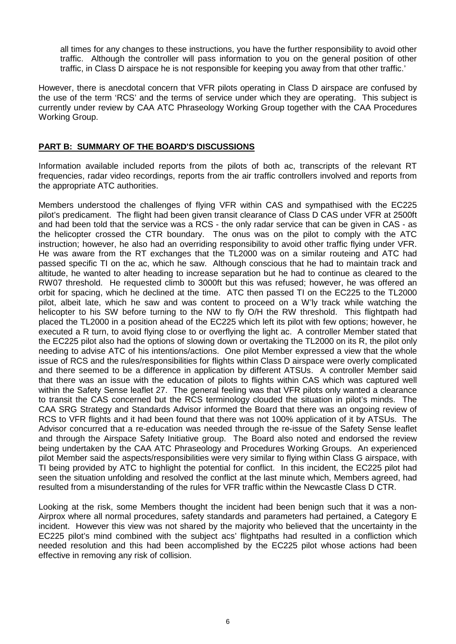all times for any changes to these instructions, you have the further responsibility to avoid other traffic. Although the controller will pass information to you on the general position of other traffic, in Class D airspace he is not responsible for keeping you away from that other traffic.'

However, there is anecdotal concern that VFR pilots operating in Class D airspace are confused by the use of the term 'RCS' and the terms of service under which they are operating. This subject is currently under review by CAA ATC Phraseology Working Group together with the CAA Procedures Working Group.

## **PART B: SUMMARY OF THE BOARD'S DISCUSSIONS**

Information available included reports from the pilots of both ac, transcripts of the relevant RT frequencies, radar video recordings, reports from the air traffic controllers involved and reports from the appropriate ATC authorities.

Members understood the challenges of flying VFR within CAS and sympathised with the EC225 pilot's predicament. The flight had been given transit clearance of Class D CAS under VFR at 2500ft and had been told that the service was a RCS - the only radar service that can be given in CAS - as the helicopter crossed the CTR boundary. The onus was on the pilot to comply with the ATC instruction; however, he also had an overriding responsibility to avoid other traffic flying under VFR. He was aware from the RT exchanges that the TL2000 was on a similar routeing and ATC had passed specific TI on the ac, which he saw. Although conscious that he had to maintain track and altitude, he wanted to alter heading to increase separation but he had to continue as cleared to the RW07 threshold. He requested climb to 3000ft but this was refused; however, he was offered an orbit for spacing, which he declined at the time. ATC then passed TI on the EC225 to the TL2000 pilot, albeit late, which he saw and was content to proceed on a W'ly track while watching the helicopter to his SW before turning to the NW to fly O/H the RW threshold. This flightpath had placed the TL2000 in a position ahead of the EC225 which left its pilot with few options; however, he executed a R turn, to avoid flying close to or overflying the light ac. A controller Member stated that the EC225 pilot also had the options of slowing down or overtaking the TL2000 on its R, the pilot only needing to advise ATC of his intentions/actions. One pilot Member expressed a view that the whole issue of RCS and the rules/responsibilities for flights within Class D airspace were overly complicated and there seemed to be a difference in application by different ATSUs. A controller Member said that there was an issue with the education of pilots to flights within CAS which was captured well within the Safety Sense leaflet 27. The general feeling was that VFR pilots only wanted a clearance to transit the CAS concerned but the RCS terminology clouded the situation in pilot's minds. The CAA SRG Strategy and Standards Advisor informed the Board that there was an ongoing review of RCS to VFR flights and it had been found that there was not 100% application of it by ATSUs. The Advisor concurred that a re-education was needed through the re-issue of the Safety Sense leaflet and through the Airspace Safety Initiative group. The Board also noted and endorsed the review being undertaken by the CAA ATC Phraseology and Procedures Working Groups. An experienced pilot Member said the aspects/responsibilities were very similar to flying within Class G airspace, with TI being provided by ATC to highlight the potential for conflict. In this incident, the EC225 pilot had seen the situation unfolding and resolved the conflict at the last minute which, Members agreed, had resulted from a misunderstanding of the rules for VFR traffic within the Newcastle Class D CTR.

Looking at the risk, some Members thought the incident had been benign such that it was a non-Airprox where all normal procedures, safety standards and parameters had pertained, a Category E incident. However this view was not shared by the majority who believed that the uncertainty in the EC225 pilot's mind combined with the subject acs' flightpaths had resulted in a confliction which needed resolution and this had been accomplished by the EC225 pilot whose actions had been effective in removing any risk of collision.